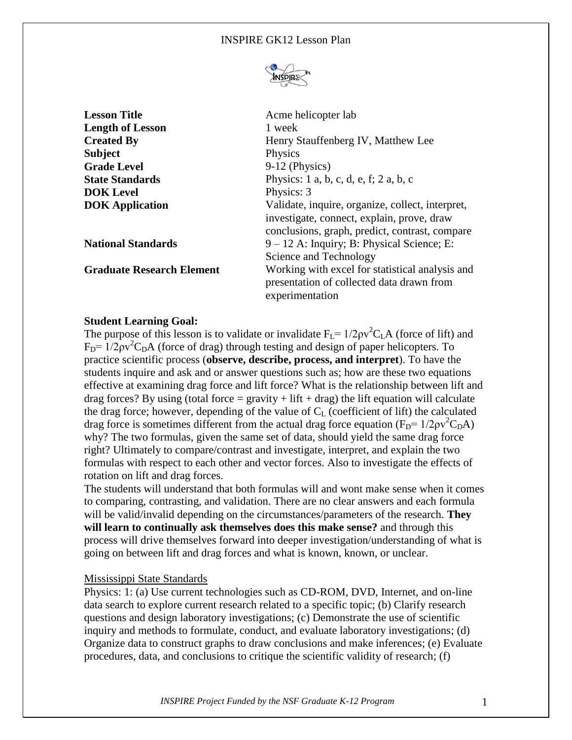

| <b>Lesson Title</b>              | Acme helicopter lab                              |
|----------------------------------|--------------------------------------------------|
| <b>Length of Lesson</b>          | 1 week                                           |
| <b>Created By</b>                | Henry Stauffenberg IV, Matthew Lee               |
| <b>Subject</b>                   | Physics                                          |
| <b>Grade Level</b>               | $9-12$ (Physics)                                 |
| <b>State Standards</b>           | Physics: 1 a, b, c, d, e, f; 2 a, b, c           |
| <b>DOK</b> Level                 | Physics: 3                                       |
| <b>DOK</b> Application           | Validate, inquire, organize, collect, interpret, |
|                                  | investigate, connect, explain, prove, draw       |
|                                  | conclusions, graph, predict, contrast, compare   |
| <b>National Standards</b>        | $9 - 12$ A: Inquiry; B: Physical Science; E:     |
|                                  | Science and Technology                           |
| <b>Graduate Research Element</b> | Working with excel for statistical analysis and  |
|                                  | presentation of collected data drawn from        |
|                                  | experimentation                                  |

## **Student Learning Goal:**

The purpose of this lesson is to validate or invalidate  $F_L = 1/2\rho v^2 C_L A$  (force of lift) and  $F_D$ = 1/2ρv<sup>2</sup>C<sub>D</sub>A (force of drag) through testing and design of paper helicopters. To practice scientific process (**observe, describe, process, and interpret**). To have the students inquire and ask and or answer questions such as; how are these two equations effective at examining drag force and lift force? What is the relationship between lift and drag forces? By using (total force = gravity + lift + drag) the lift equation will calculate the drag force; however, depending of the value of  $C_{\text{L}}$  (coefficient of lift) the calculated drag force is sometimes different from the actual drag force equation ( $F_D$ = 1/2ρv<sup>2</sup>C<sub>D</sub>A) why? The two formulas, given the same set of data, should yield the same drag force right? Ultimately to compare/contrast and investigate, interpret, and explain the two formulas with respect to each other and vector forces. Also to investigate the effects of rotation on lift and drag forces.

The students will understand that both formulas will and wont make sense when it comes to comparing, contrasting, and validation. There are no clear answers and each formula will be valid/invalid depending on the circumstances/parameters of the research. **They will learn to continually ask themselves does this make sense?** and through this process will drive themselves forward into deeper investigation/understanding of what is going on between lift and drag forces and what is known, known, or unclear.

## Mississippi State Standards

Physics: 1: (a) Use current technologies such as CD-ROM, DVD, Internet, and on-line data search to explore current research related to a specific topic; (b) Clarify research questions and design laboratory investigations; (c) Demonstrate the use of scientific inquiry and methods to formulate, conduct, and evaluate laboratory investigations; (d) Organize data to construct graphs to draw conclusions and make inferences; (e) Evaluate procedures, data, and conclusions to critique the scientific validity of research; (f)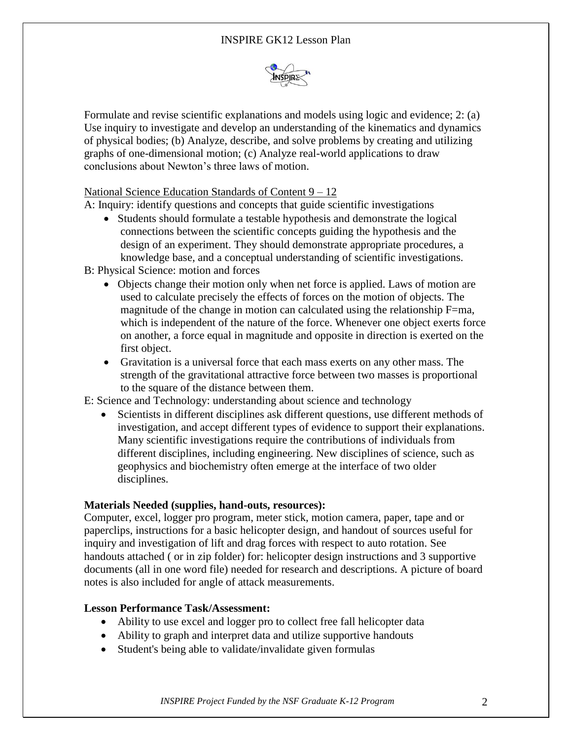# INSPIRE GK12 Lesson Plan



Formulate and revise scientific explanations and models using logic and evidence; 2: (a) Use inquiry to investigate and develop an understanding of the kinematics and dynamics of physical bodies; (b) Analyze, describe, and solve problems by creating and utilizing graphs of one-dimensional motion; (c) Analyze real-world applications to draw conclusions about Newton's three laws of motion.

### National Science Education Standards of Content 9 – 12

A: Inquiry: identify questions and concepts that guide scientific investigations

 Students should formulate a testable hypothesis and demonstrate the logical connections between the scientific concepts guiding the hypothesis and the design of an experiment. They should demonstrate appropriate procedures, a knowledge base, and a conceptual understanding of scientific investigations.

B: Physical Science: motion and forces

- Objects change their motion only when net force is applied. Laws of motion are used to calculate precisely the effects of forces on the motion of objects. The magnitude of the change in motion can calculated using the relationship F=ma, which is independent of the nature of the force. Whenever one object exerts force on another, a force equal in magnitude and opposite in direction is exerted on the first object.
- Gravitation is a universal force that each mass exerts on any other mass. The strength of the gravitational attractive force between two masses is proportional to the square of the distance between them.

## E: Science and Technology: understanding about science and technology

 Scientists in different disciplines ask different questions, use different methods of investigation, and accept different types of evidence to support their explanations. Many scientific investigations require the contributions of individuals from different disciplines, including engineering. New disciplines of science, such as geophysics and biochemistry often emerge at the interface of two older disciplines.

### **Materials Needed (supplies, hand-outs, resources):**

Computer, excel, logger pro program, meter stick, motion camera, paper, tape and or paperclips, instructions for a basic helicopter design, and handout of sources useful for inquiry and investigation of lift and drag forces with respect to auto rotation. See handouts attached ( or in zip folder) for: helicopter design instructions and 3 supportive documents (all in one word file) needed for research and descriptions. A picture of board notes is also included for angle of attack measurements.

### **Lesson Performance Task/Assessment:**

- Ability to use excel and logger pro to collect free fall helicopter data
- Ability to graph and interpret data and utilize supportive handouts
- Student's being able to validate/invalidate given formulas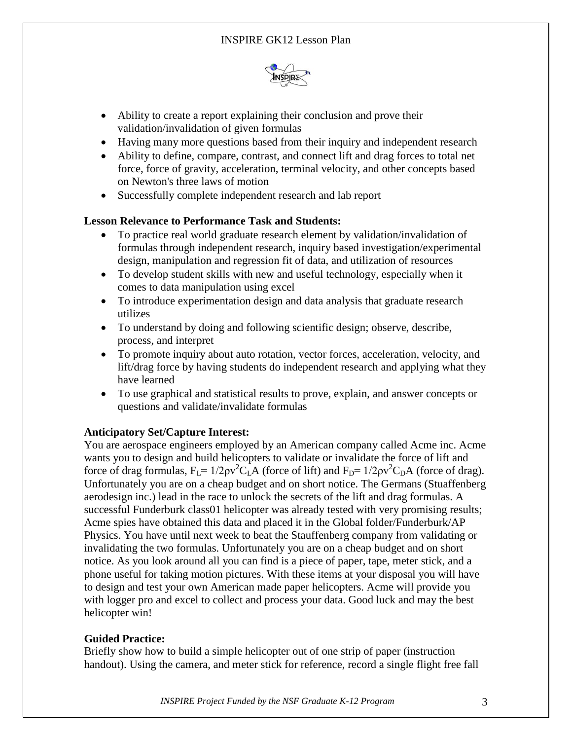

- Ability to create a report explaining their conclusion and prove their validation/invalidation of given formulas
- Having many more questions based from their inquiry and independent research
- Ability to define, compare, contrast, and connect lift and drag forces to total net force, force of gravity, acceleration, terminal velocity, and other concepts based on Newton's three laws of motion
- Successfully complete independent research and lab report

# **Lesson Relevance to Performance Task and Students:**

- To practice real world graduate research element by validation/invalidation of formulas through independent research, inquiry based investigation/experimental design, manipulation and regression fit of data, and utilization of resources
- To develop student skills with new and useful technology, especially when it comes to data manipulation using excel
- To introduce experimentation design and data analysis that graduate research utilizes
- To understand by doing and following scientific design; observe, describe, process, and interpret
- To promote inquiry about auto rotation, vector forces, acceleration, velocity, and lift/drag force by having students do independent research and applying what they have learned
- To use graphical and statistical results to prove, explain, and answer concepts or questions and validate/invalidate formulas

# **Anticipatory Set/Capture Interest:**

You are aerospace engineers employed by an American company called Acme inc. Acme wants you to design and build helicopters to validate or invalidate the force of lift and force of drag formulas,  $F_L = 1/2\rho v^2 C_L A$  (force of lift) and  $F_D = 1/2\rho v^2 C_D A$  (force of drag). Unfortunately you are on a cheap budget and on short notice. The Germans (Stuaffenberg aerodesign inc.) lead in the race to unlock the secrets of the lift and drag formulas. A successful Funderburk class01 helicopter was already tested with very promising results; Acme spies have obtained this data and placed it in the Global folder/Funderburk/AP Physics. You have until next week to beat the Stauffenberg company from validating or invalidating the two formulas. Unfortunately you are on a cheap budget and on short notice. As you look around all you can find is a piece of paper, tape, meter stick, and a phone useful for taking motion pictures. With these items at your disposal you will have to design and test your own American made paper helicopters. Acme will provide you with logger pro and excel to collect and process your data. Good luck and may the best helicopter win!

## **Guided Practice:**

Briefly show how to build a simple helicopter out of one strip of paper (instruction handout). Using the camera, and meter stick for reference, record a single flight free fall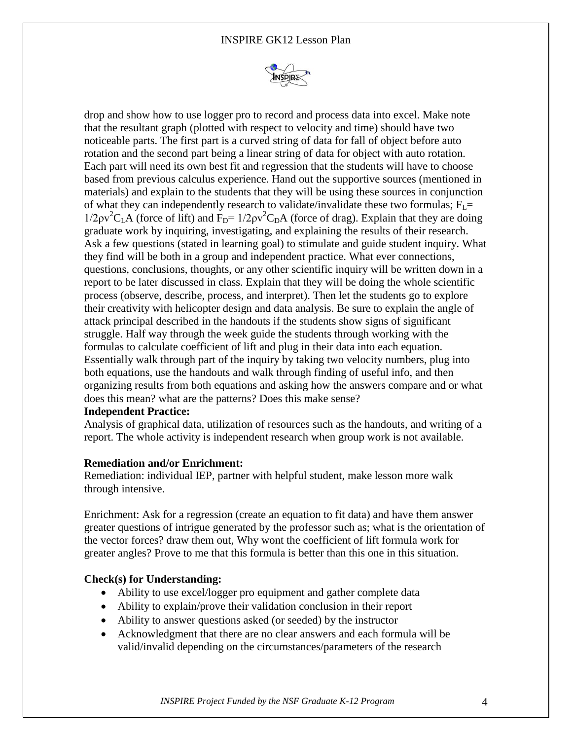

drop and show how to use logger pro to record and process data into excel. Make note that the resultant graph (plotted with respect to velocity and time) should have two noticeable parts. The first part is a curved string of data for fall of object before auto rotation and the second part being a linear string of data for object with auto rotation. Each part will need its own best fit and regression that the students will have to choose based from previous calculus experience. Hand out the supportive sources (mentioned in materials) and explain to the students that they will be using these sources in conjunction of what they can independently research to validate/invalidate these two formulas;  $F<sub>L</sub>=$  $1/2 \rho v^2 C_1 A$  (force of lift) and  $F_D = 1/2 \rho v^2 C_D A$  (force of drag). Explain that they are doing graduate work by inquiring, investigating, and explaining the results of their research. Ask a few questions (stated in learning goal) to stimulate and guide student inquiry. What they find will be both in a group and independent practice. What ever connections, questions, conclusions, thoughts, or any other scientific inquiry will be written down in a report to be later discussed in class. Explain that they will be doing the whole scientific process (observe, describe, process, and interpret). Then let the students go to explore their creativity with helicopter design and data analysis. Be sure to explain the angle of attack principal described in the handouts if the students show signs of significant struggle. Half way through the week guide the students through working with the formulas to calculate coefficient of lift and plug in their data into each equation. Essentially walk through part of the inquiry by taking two velocity numbers, plug into both equations, use the handouts and walk through finding of useful info, and then organizing results from both equations and asking how the answers compare and or what does this mean? what are the patterns? Does this make sense?

## **Independent Practice:**

Analysis of graphical data, utilization of resources such as the handouts, and writing of a report. The whole activity is independent research when group work is not available.

### **Remediation and/or Enrichment:**

Remediation: individual IEP, partner with helpful student, make lesson more walk through intensive.

Enrichment: Ask for a regression (create an equation to fit data) and have them answer greater questions of intrigue generated by the professor such as; what is the orientation of the vector forces? draw them out, Why wont the coefficient of lift formula work for greater angles? Prove to me that this formula is better than this one in this situation.

## **Check(s) for Understanding:**

- Ability to use excel/logger pro equipment and gather complete data
- Ability to explain/prove their validation conclusion in their report
- Ability to answer questions asked (or seeded) by the instructor
- Acknowledgment that there are no clear answers and each formula will be valid/invalid depending on the circumstances/parameters of the research